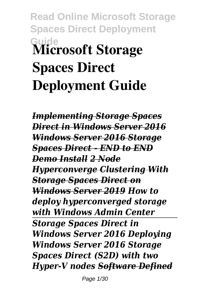# **Read Online Microsoft Storage Spaces Direct Deployment Guide Microsoft Storage Spaces Direct Deployment Guide**

*Implementing Storage Spaces Direct in Windows Server 2016 Windows Server 2016 Storage Spaces Direct - END to END Demo Install 2 Node Hyperconverge Clustering With Storage Spaces Direct on Windows Server 2019 How to deploy hyperconverged storage with Windows Admin Center Storage Spaces Direct in Windows Server 2016 Deploying Windows Server 2016 Storage Spaces Direct (S2D) with two Hyper-V nodes Software Defined*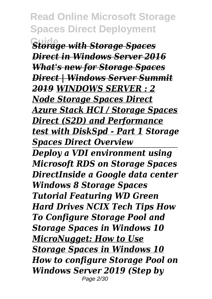**Storage with Storage Spaces** *Direct in Windows Server 2016 What's new for Storage Spaces Direct | Windows Server Summit 2019 WINDOWS SERVER : 2 Node Storage Spaces Direct Azure Stack HCI / Storage Spaces Direct (S2D) and Performance test with DiskSpd - Part 1 Storage Spaces Direct Overview Deploy a VDI environment using Microsoft RDS on Storage Spaces DirectInside a Google data center Windows 8 Storage Spaces Tutorial Featuring WD Green Hard Drives NCIX Tech Tips How To Configure Storage Pool and Storage Spaces in Windows 10 MicroNugget: How to Use Storage Spaces in Windows 10 How to configure Storage Pool on Windows Server 2019 (Step by* Page 2/30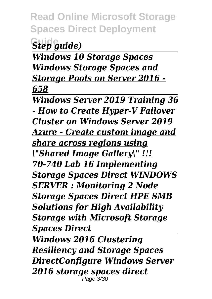**Guide** *Step guide)*

*Windows 10 Storage Spaces Windows Storage Spaces and Storage Pools on Server 2016 - 658*

*Windows Server 2019 Training 36 - How to Create Hyper-V Failover Cluster on Windows Server 2019 Azure - Create custom image and share across regions using \"Shared Image Gallery\" !!! 70-740 Lab 16 Implementing Storage Spaces Direct WINDOWS SERVER : Monitoring 2 Node Storage Spaces Direct HPE SMB Solutions for High Availability Storage with Microsoft Storage Spaces Direct*

*Windows 2016 Clustering Resiliency and Storage Spaces DirectConfigure Windows Server 2016 storage spaces direct* Page 3/30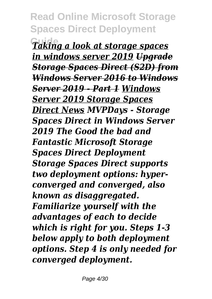**Guide** *Taking a look at storage spaces in windows server 2019 Upgrade Storage Spaces Direct (S2D) from Windows Server 2016 to Windows Server 2019 - Part 1 Windows Server 2019 Storage Spaces Direct News MVPDays - Storage Spaces Direct in Windows Server 2019 The Good the bad and Fantastic Microsoft Storage Spaces Direct Deployment Storage Spaces Direct supports two deployment options: hyperconverged and converged, also known as disaggregated. Familiarize yourself with the advantages of each to decide which is right for you. Steps 1-3 below apply to both deployment options. Step 4 is only needed for converged deployment.*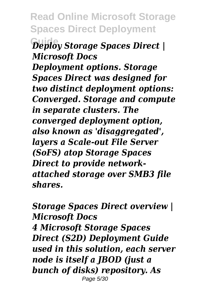**Read Online Microsoft Storage Spaces Direct Deployment Guide** *Deploy Storage Spaces Direct | Microsoft Docs Deployment options. Storage Spaces Direct was designed for two distinct deployment options: Converged. Storage and compute in separate clusters. The converged deployment option, also known as 'disaggregated', layers a Scale-out File Server (SoFS) atop Storage Spaces Direct to provide networkattached storage over SMB3 file shares.*

*Storage Spaces Direct overview | Microsoft Docs 4 Microsoft Storage Spaces Direct (S2D) Deployment Guide used in this solution, each server node is itself a JBOD (just a bunch of disks) repository. As* Page 5/30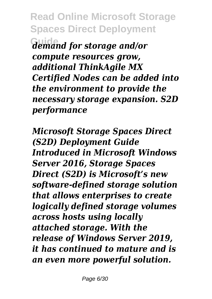**Guide** *demand for storage and/or compute resources grow, additional ThinkAgile MX Certified Nodes can be added into the environment to provide the necessary storage expansion. S2D performance*

*Microsoft Storage Spaces Direct (S2D) Deployment Guide Introduced in Microsoft Windows Server 2016, Storage Spaces Direct (S2D) is Microsoft's new software-defined storage solution that allows enterprises to create logically defined storage volumes across hosts using locally attached storage. With the release of Windows Server 2019, it has continued to mature and is an even more powerful solution.*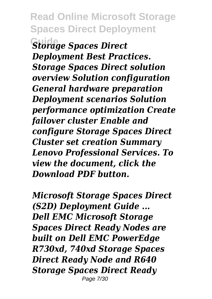**Guide** *Storage Spaces Direct Deployment Best Practices. Storage Spaces Direct solution overview Solution configuration General hardware preparation Deployment scenarios Solution performance optimization Create failover cluster Enable and configure Storage Spaces Direct Cluster set creation Summary Lenovo Professional Services. To view the document, click the Download PDF button.*

*Microsoft Storage Spaces Direct (S2D) Deployment Guide ... Dell EMC Microsoft Storage Spaces Direct Ready Nodes are built on Dell EMC PowerEdge R730xd, 740xd Storage Spaces Direct Ready Node and R640 Storage Spaces Direct Ready* Page 7/30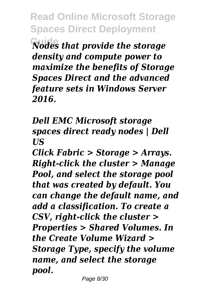**Read Online Microsoft Storage Spaces Direct Deployment Guide** *Nodes that provide the storage density and compute power to maximize the benefits of Storage Spaces Direct and the advanced feature sets in Windows Server 2016.*

*Dell EMC Microsoft storage spaces direct ready nodes | Dell US*

*Click Fabric > Storage > Arrays. Right-click the cluster > Manage Pool, and select the storage pool that was created by default. You can change the default name, and add a classification. To create a CSV, right-click the cluster > Properties > Shared Volumes. In the Create Volume Wizard > Storage Type, specify the volume name, and select the storage pool.*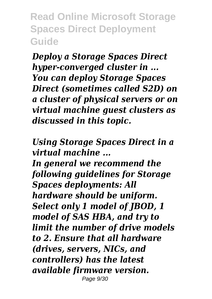*Deploy a Storage Spaces Direct hyper-converged cluster in ... You can deploy Storage Spaces Direct (sometimes called S2D) on a cluster of physical servers or on virtual machine guest clusters as discussed in this topic.*

*Using Storage Spaces Direct in a virtual machine ...*

*In general we recommend the following guidelines for Storage Spaces deployments: All hardware should be uniform. Select only 1 model of JBOD, 1 model of SAS HBA, and try to limit the number of drive models to 2. Ensure that all hardware (drives, servers, NICs, and controllers) has the latest available firmware version.* Page 9/30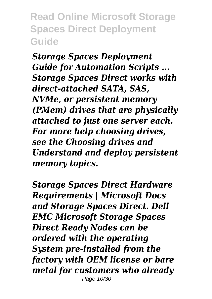*Storage Spaces Deployment Guide for Automation Scripts ... Storage Spaces Direct works with direct-attached SATA, SAS, NVMe, or persistent memory (PMem) drives that are physically attached to just one server each. For more help choosing drives, see the Choosing drives and Understand and deploy persistent memory topics.*

*Storage Spaces Direct Hardware Requirements | Microsoft Docs and Storage Spaces Direct. Dell EMC Microsoft Storage Spaces Direct Ready Nodes can be ordered with the operating System pre-installed from the factory with OEM license or bare metal for customers who already* Page 10/30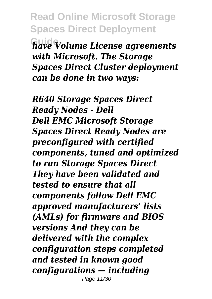**Read Online Microsoft Storage Spaces Direct Deployment Guide** *have Volume License agreements with Microsoft. The Storage Spaces Direct Cluster deployment can be done in two ways:*

*R640 Storage Spaces Direct Ready Nodes - Dell Dell EMC Microsoft Storage Spaces Direct Ready Nodes are preconfigured with certified components, tuned and optimized to run Storage Spaces Direct They have been validated and tested to ensure that all components follow Dell EMC approved manufacturers' lists (AMLs) for firmware and BIOS versions And they can be delivered with the complex configuration steps completed and tested in known good configurations — including* Page 11/30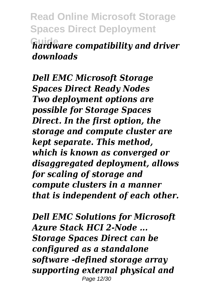**Read Online Microsoft Storage Spaces Direct Deployment Guide** *hardware compatibility and driver downloads*

*Dell EMC Microsoft Storage Spaces Direct Ready Nodes Two deployment options are possible for Storage Spaces Direct. In the first option, the storage and compute cluster are kept separate. This method, which is known as converged or disaggregated deployment, allows for scaling of storage and compute clusters in a manner that is independent of each other.*

*Dell EMC Solutions for Microsoft Azure Stack HCI 2-Node ... Storage Spaces Direct can be configured as a standalone software -defined storage array supporting external physical and* Page 12/30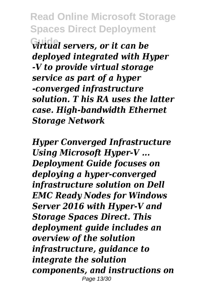**Guide** *virtual servers, or it can be deployed integrated with Hyper -V to provide virtual storage service as part of a hyper -converged infrastructure solution. T his RA uses the latter case. High-bandwidth Ethernet Storage Network*

*Hyper Converged Infrastructure Using Microsoft Hyper-V ... Deployment Guide focuses on deploying a hyper-converged infrastructure solution on Dell EMC Ready Nodes for Windows Server 2016 with Hyper-V and Storage Spaces Direct. This deployment guide includes an overview of the solution infrastructure, guidance to integrate the solution components, and instructions on* Page 13/30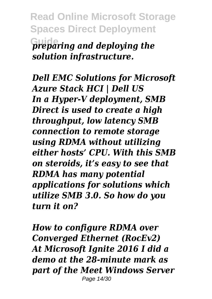**Read Online Microsoft Storage Spaces Direct Deployment Guide** *preparing and deploying the solution infrastructure.*

*Dell EMC Solutions for Microsoft Azure Stack HCI | Dell US In a Hyper-V deployment, SMB Direct is used to create a high throughput, low latency SMB connection to remote storage using RDMA without utilizing either hosts' CPU. With this SMB on steroids, it's easy to see that RDMA has many potential applications for solutions which utilize SMB 3.0. So how do you turn it on?*

*How to configure RDMA over Converged Ethernet (RocEv2) At Microsoft Ignite 2016 I did a demo at the 28-minute mark as part of the Meet Windows Server* Page 14/30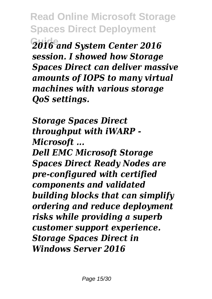**Read Online Microsoft Storage Spaces Direct Deployment Guide** *2016 and System Center 2016 session. I showed how Storage Spaces Direct can deliver massive amounts of IOPS to many virtual machines with various storage QoS settings.*

*Storage Spaces Direct throughput with iWARP - Microsoft ... Dell EMC Microsoft Storage Spaces Direct Ready Nodes are pre-configured with certified components and validated building blocks that can simplify ordering and reduce deployment risks while providing a superb customer support experience.*

*Storage Spaces Direct in Windows Server 2016*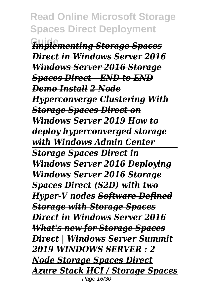**Guide** *Implementing Storage Spaces Direct in Windows Server 2016 Windows Server 2016 Storage Spaces Direct - END to END Demo Install 2 Node Hyperconverge Clustering With Storage Spaces Direct on Windows Server 2019 How to deploy hyperconverged storage with Windows Admin Center Storage Spaces Direct in Windows Server 2016 Deploying Windows Server 2016 Storage Spaces Direct (S2D) with two Hyper-V nodes Software Defined Storage with Storage Spaces Direct in Windows Server 2016 What's new for Storage Spaces Direct | Windows Server Summit 2019 WINDOWS SERVER : 2 Node Storage Spaces Direct Azure Stack HCI / Storage Spaces* Page 16/30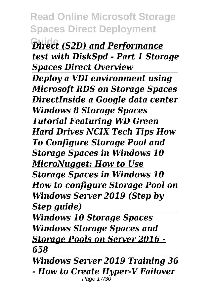**Guide** *Direct (S2D) and Performance test with DiskSpd - Part 1 Storage Spaces Direct Overview*

*Deploy a VDI environment using Microsoft RDS on Storage Spaces DirectInside a Google data center Windows 8 Storage Spaces Tutorial Featuring WD Green Hard Drives NCIX Tech Tips How To Configure Storage Pool and Storage Spaces in Windows 10 MicroNugget: How to Use Storage Spaces in Windows 10 How to configure Storage Pool on Windows Server 2019 (Step by Step guide)*

*Windows 10 Storage Spaces Windows Storage Spaces and Storage Pools on Server 2016 - 658*

*Windows Server 2019 Training 36 - How to Create Hyper-V Failover* Page 17/30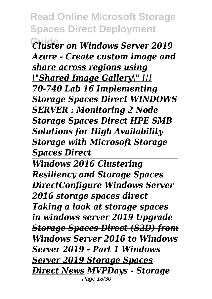**Guide** *Cluster on Windows Server 2019 Azure - Create custom image and share across regions using \"Shared Image Gallery\" !!! 70-740 Lab 16 Implementing Storage Spaces Direct WINDOWS SERVER : Monitoring 2 Node Storage Spaces Direct HPE SMB Solutions for High Availability Storage with Microsoft Storage Spaces Direct*

*Windows 2016 Clustering Resiliency and Storage Spaces DirectConfigure Windows Server 2016 storage spaces direct Taking a look at storage spaces in windows server 2019 Upgrade Storage Spaces Direct (S2D) from Windows Server 2016 to Windows Server 2019 - Part 1 Windows Server 2019 Storage Spaces Direct News MVPDays - Storage* Page 18/30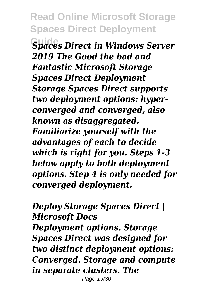**Guide** *Spaces Direct in Windows Server 2019 The Good the bad and Fantastic Microsoft Storage Spaces Direct Deployment Storage Spaces Direct supports two deployment options: hyperconverged and converged, also known as disaggregated. Familiarize yourself with the advantages of each to decide which is right for you. Steps 1-3 below apply to both deployment options. Step 4 is only needed for converged deployment.*

*Deploy Storage Spaces Direct | Microsoft Docs Deployment options. Storage Spaces Direct was designed for two distinct deployment options: Converged. Storage and compute in separate clusters. The* Page 19/30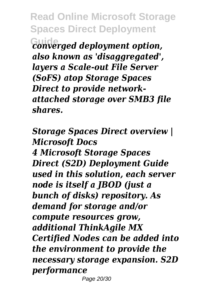**Read Online Microsoft Storage Spaces Direct Deployment Guide** *converged deployment option, also known as 'disaggregated', layers a Scale-out File Server (SoFS) atop Storage Spaces Direct to provide networkattached storage over SMB3 file shares.*

*Storage Spaces Direct overview | Microsoft Docs 4 Microsoft Storage Spaces Direct (S2D) Deployment Guide used in this solution, each server node is itself a JBOD (just a bunch of disks) repository. As demand for storage and/or compute resources grow, additional ThinkAgile MX Certified Nodes can be added into the environment to provide the necessary storage expansion. S2D performance* Page 20/30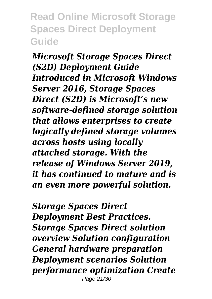*Microsoft Storage Spaces Direct (S2D) Deployment Guide Introduced in Microsoft Windows Server 2016, Storage Spaces Direct (S2D) is Microsoft's new software-defined storage solution that allows enterprises to create logically defined storage volumes across hosts using locally attached storage. With the release of Windows Server 2019, it has continued to mature and is an even more powerful solution.*

*Storage Spaces Direct Deployment Best Practices. Storage Spaces Direct solution overview Solution configuration General hardware preparation Deployment scenarios Solution performance optimization Create* Page 21/30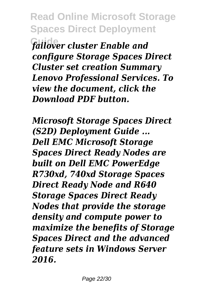**Read Online Microsoft Storage Spaces Direct Deployment Guide** *failover cluster Enable and configure Storage Spaces Direct Cluster set creation Summary Lenovo Professional Services. To view the document, click the Download PDF button.*

*Microsoft Storage Spaces Direct (S2D) Deployment Guide ... Dell EMC Microsoft Storage Spaces Direct Ready Nodes are built on Dell EMC PowerEdge R730xd, 740xd Storage Spaces Direct Ready Node and R640 Storage Spaces Direct Ready Nodes that provide the storage density and compute power to maximize the benefits of Storage Spaces Direct and the advanced feature sets in Windows Server 2016.*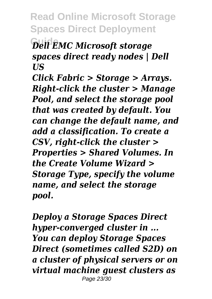**Dell EMC Microsoft storage** *spaces direct ready nodes | Dell US*

*Click Fabric > Storage > Arrays. Right-click the cluster > Manage Pool, and select the storage pool that was created by default. You can change the default name, and add a classification. To create a CSV, right-click the cluster > Properties > Shared Volumes. In the Create Volume Wizard > Storage Type, specify the volume name, and select the storage pool.*

*Deploy a Storage Spaces Direct hyper-converged cluster in ... You can deploy Storage Spaces Direct (sometimes called S2D) on a cluster of physical servers or on virtual machine guest clusters as* Page 23/30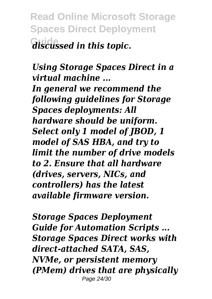**Read Online Microsoft Storage Spaces Direct Deployment**  $\overline{d}$  *iscussed in this topic.* 

*Using Storage Spaces Direct in a virtual machine ...*

*In general we recommend the following guidelines for Storage Spaces deployments: All hardware should be uniform. Select only 1 model of JBOD, 1 model of SAS HBA, and try to limit the number of drive models to 2. Ensure that all hardware (drives, servers, NICs, and controllers) has the latest available firmware version.*

*Storage Spaces Deployment Guide for Automation Scripts ... Storage Spaces Direct works with direct-attached SATA, SAS, NVMe, or persistent memory (PMem) drives that are physically* Page 24/30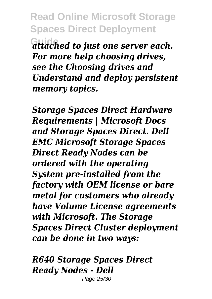**Guide** *attached to just one server each. For more help choosing drives, see the Choosing drives and Understand and deploy persistent memory topics.*

*Storage Spaces Direct Hardware Requirements | Microsoft Docs and Storage Spaces Direct. Dell EMC Microsoft Storage Spaces Direct Ready Nodes can be ordered with the operating System pre-installed from the factory with OEM license or bare metal for customers who already have Volume License agreements with Microsoft. The Storage Spaces Direct Cluster deployment can be done in two ways:*

*R640 Storage Spaces Direct Ready Nodes - Dell* Page 25/30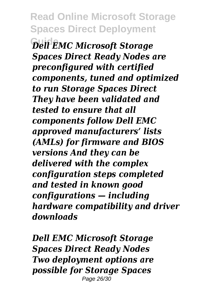**Guide** *Dell EMC Microsoft Storage Spaces Direct Ready Nodes are preconfigured with certified components, tuned and optimized to run Storage Spaces Direct They have been validated and tested to ensure that all components follow Dell EMC approved manufacturers' lists (AMLs) for firmware and BIOS versions And they can be delivered with the complex configuration steps completed and tested in known good configurations — including hardware compatibility and driver downloads*

*Dell EMC Microsoft Storage Spaces Direct Ready Nodes Two deployment options are possible for Storage Spaces* Page 26/30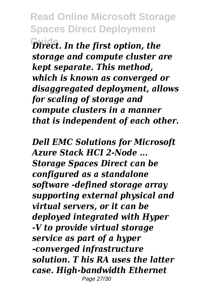**Guide** *Direct. In the first option, the storage and compute cluster are kept separate. This method, which is known as converged or disaggregated deployment, allows for scaling of storage and compute clusters in a manner that is independent of each other.*

*Dell EMC Solutions for Microsoft Azure Stack HCI 2-Node ... Storage Spaces Direct can be configured as a standalone software -defined storage array supporting external physical and virtual servers, or it can be deployed integrated with Hyper -V to provide virtual storage service as part of a hyper -converged infrastructure solution. T his RA uses the latter case. High-bandwidth Ethernet* Page 27/30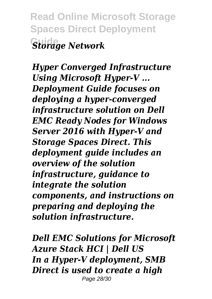**Read Online Microsoft Storage Spaces Direct Deployment Guide** *Storage Network*

*Hyper Converged Infrastructure Using Microsoft Hyper-V ... Deployment Guide focuses on deploying a hyper-converged infrastructure solution on Dell EMC Ready Nodes for Windows Server 2016 with Hyper-V and Storage Spaces Direct. This deployment guide includes an overview of the solution infrastructure, guidance to integrate the solution components, and instructions on preparing and deploying the solution infrastructure.*

*Dell EMC Solutions for Microsoft Azure Stack HCI | Dell US In a Hyper-V deployment, SMB Direct is used to create a high* Page 28/30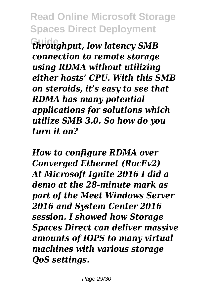**Guide** *throughput, low latency SMB connection to remote storage using RDMA without utilizing either hosts' CPU. With this SMB on steroids, it's easy to see that RDMA has many potential applications for solutions which utilize SMB 3.0. So how do you turn it on?*

*How to configure RDMA over Converged Ethernet (RocEv2) At Microsoft Ignite 2016 I did a demo at the 28-minute mark as part of the Meet Windows Server 2016 and System Center 2016 session. I showed how Storage Spaces Direct can deliver massive amounts of IOPS to many virtual machines with various storage QoS settings.*